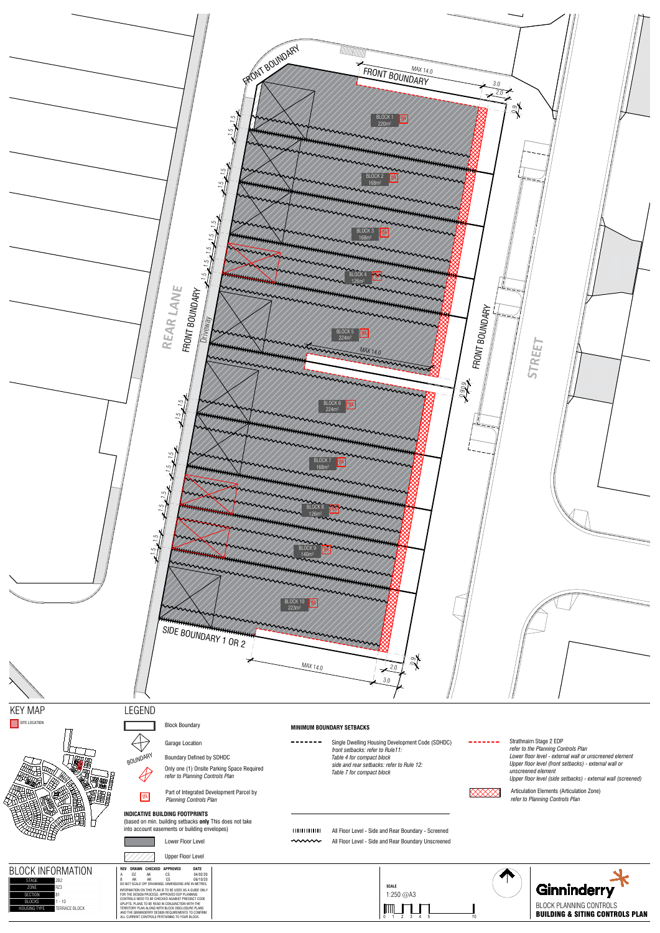**SCALE** 1:250 @A3

# LEGEND



BLOCK PLANNING CONTROLS

Ginninderry

BUILDING & SITING CONTROLS PLAN



---



Articulation Elements (Articulation Zone) *refer to Planning Controls Plan*

|                             | Opper Floor Lever                                                                                      |
|-----------------------------|--------------------------------------------------------------------------------------------------------|
| CK INFORMATION              | DATE<br>DRAWN<br>CHECKED APPROVED<br><b>REV</b>                                                        |
|                             | 04/02/20<br>D <sub>7</sub><br>AK<br>CS<br>А                                                            |
| 2 <sub>B2</sub><br>STAGE    | 06/10/20<br>B<br>AK<br>CS<br>AK<br>DO NOT SCALE OFF DRAWINGS. DIMENSIONS ARE IN METRES.                |
| ZONE<br>R73                 | INFORMATION ON THIS PLAN IS TO BE USED AS A GUIDE ONLY                                                 |
| FCTION<br>81                | FOR THE DESIGN PROCESS. APPROVED EDP PLANNING                                                          |
| 31 OCKS<br>$1 - 10$         | CONTROLS NEED TO BE CHECKED AGAINST PRECINCT CODE<br>UPLIETS. PLANS TO BE READ IN CONJUNCTION WITH THE |
| Ising Type<br>TFRRACF BIOCK | TERRITORY PLAN ALONG WITH BLOCK DISCLOSURE PLANS.                                                      |
|                             | AND THE GINNINDERRY DESIGN REQUIREMENTS TO CONFIRM<br>ALL CURRENT CONTROLS PERTAINING TO YOUR BLOCK.   |

BOUNDARY Boundary Defined by SDHDC<br>Only one (1) Onsite Parking S<br>refer to Planning Continues Only one (1) Onsite Parking Space Required *refer to Planning Controls Plan*

 $- - - - - - -$ Single Dwelling Housing Development Code (SDHDC) *front setbacks: refer to Rule11: Table 4 for compact block side and rear setbacks: refer to Rule 12: Table 7 for compact block*

Part of Integrated Development Parcel by *Planning Controls Planning* 



| <b>STAGF</b>        | 2 <sub>R2</sub> |
|---------------------|-----------------|
| 70NF                | R73             |
| SECTION             | 81              |
| <b>BI OCKS</b>      | $1 - 10$        |
| <b>HOUSING TYPE</b> | TFRRACF BIOCK   |

ങ∰ ന്ധ JĦI

0 1 2 3 4 5 10



Strathnairn Stage 2 EDP *refer to the Planning Controls Plan Lower floor level - external wall or unscreened element Upper floor level (front setbacks) - external wall or unscreened element Upper floor level (side setbacks) - external wall (screened)*

Garage Location

## **INDICATIVE BUILDING FOOTPRINTS**

(based on min. building setbacks **only** This does not take into account easements or building envelopes)



Upper Floor Level

# **BLOCK INFORMATION**

7 H

### **MINIMUM BOUNDARY SETBACKS**

All Floor Level - Side and Rear Boundary - Screened  $\sim$ All Floor Level - Side and Rear Boundary Unscreened